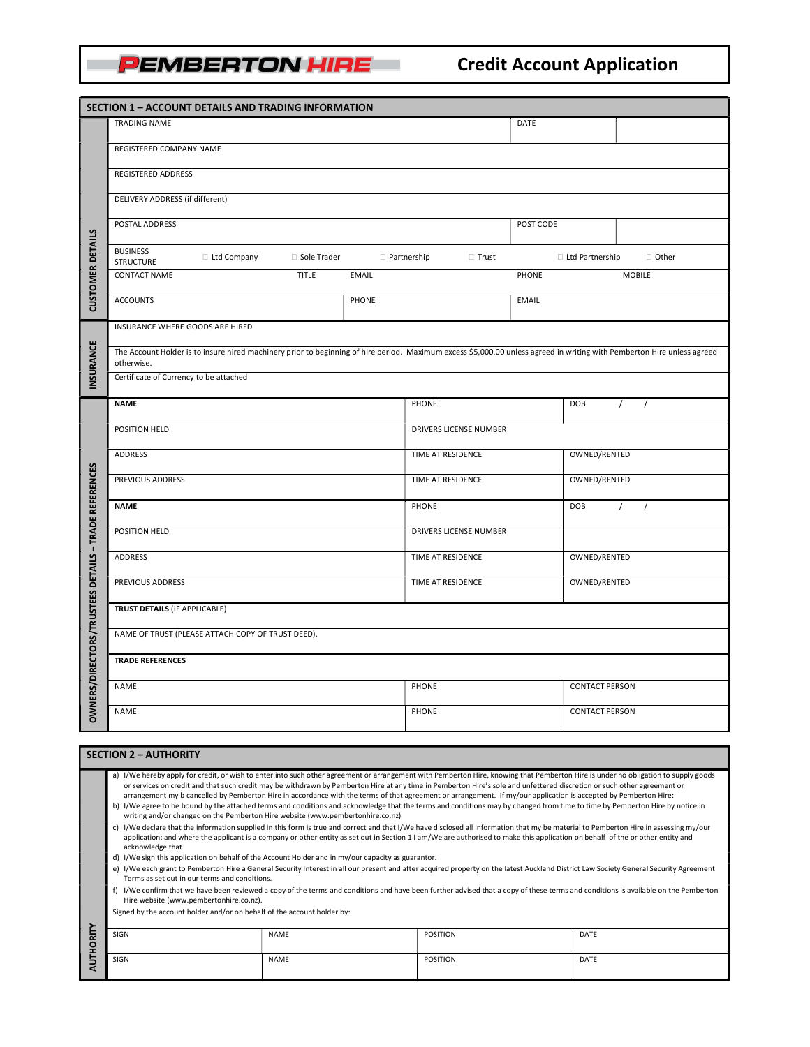## **PEMBERTON HIRE**

## Credit Account Application

| SECTION 1 - ACCOUNT DETAILS AND TRADING INFORMATION |                                                                                                                                                                                                                                                                                                                                                                                                                                                                                                                                   |       |                        |                              |                       |                      |  |  |
|-----------------------------------------------------|-----------------------------------------------------------------------------------------------------------------------------------------------------------------------------------------------------------------------------------------------------------------------------------------------------------------------------------------------------------------------------------------------------------------------------------------------------------------------------------------------------------------------------------|-------|------------------------|------------------------------|-----------------------|----------------------|--|--|
|                                                     | TRADING NAME                                                                                                                                                                                                                                                                                                                                                                                                                                                                                                                      |       |                        | DATE                         |                       |                      |  |  |
| <b>CUSTOMER DETAILS</b>                             | REGISTERED COMPANY NAME                                                                                                                                                                                                                                                                                                                                                                                                                                                                                                           |       |                        |                              |                       |                      |  |  |
|                                                     | REGISTERED ADDRESS                                                                                                                                                                                                                                                                                                                                                                                                                                                                                                                |       |                        |                              |                       |                      |  |  |
|                                                     | DELIVERY ADDRESS (if different)                                                                                                                                                                                                                                                                                                                                                                                                                                                                                                   |       |                        |                              |                       |                      |  |  |
|                                                     | POSTAL ADDRESS                                                                                                                                                                                                                                                                                                                                                                                                                                                                                                                    |       |                        | POST CODE                    |                       |                      |  |  |
|                                                     | <b>BUSINESS</b><br>□ Ltd Company<br>□ Sole Trader<br><b>D</b> Partnership<br>$\Box$ Trust<br><b>STRUCTURE</b>                                                                                                                                                                                                                                                                                                                                                                                                                     |       |                        | □ Ltd Partnership<br>□ Other |                       |                      |  |  |
|                                                     | <b>TITLE</b><br><b>CONTACT NAME</b><br><b>EMAIL</b>                                                                                                                                                                                                                                                                                                                                                                                                                                                                               |       |                        | PHONE                        |                       | <b>MOBILE</b>        |  |  |
|                                                     | <b>ACCOUNTS</b>                                                                                                                                                                                                                                                                                                                                                                                                                                                                                                                   | PHONE |                        | <b>EMAIL</b>                 |                       |                      |  |  |
|                                                     | INSURANCE WHERE GOODS ARE HIRED                                                                                                                                                                                                                                                                                                                                                                                                                                                                                                   |       |                        |                              |                       |                      |  |  |
| INSURANCE                                           | The Account Holder is to insure hired machinery prior to beginning of hire period. Maximum excess \$5,000.00 unless agreed in writing with Pemberton Hire unless agreed<br>otherwise.                                                                                                                                                                                                                                                                                                                                             |       |                        |                              |                       |                      |  |  |
|                                                     | Certificate of Currency to be attached                                                                                                                                                                                                                                                                                                                                                                                                                                                                                            |       |                        |                              |                       |                      |  |  |
|                                                     | <b>NAME</b>                                                                                                                                                                                                                                                                                                                                                                                                                                                                                                                       |       | PHONE                  |                              | DOB                   | $\prime$<br>$\prime$ |  |  |
|                                                     | POSITION HELD                                                                                                                                                                                                                                                                                                                                                                                                                                                                                                                     |       | DRIVERS LICENSE NUMBER |                              |                       |                      |  |  |
|                                                     | ADDRESS                                                                                                                                                                                                                                                                                                                                                                                                                                                                                                                           |       | TIME AT RESIDENCE      |                              | OWNED/RENTED          |                      |  |  |
| S/DIRECTORS/TRUSTEES DETAILS - TRADE REFERENCES     | PREVIOUS ADDRESS                                                                                                                                                                                                                                                                                                                                                                                                                                                                                                                  |       | TIME AT RESIDENCE      |                              | OWNED/RENTED          |                      |  |  |
|                                                     | <b>NAME</b>                                                                                                                                                                                                                                                                                                                                                                                                                                                                                                                       |       | PHONE                  |                              | DOB                   | $\sqrt{ }$           |  |  |
|                                                     | POSITION HELD                                                                                                                                                                                                                                                                                                                                                                                                                                                                                                                     |       | DRIVERS LICENSE NUMBER |                              |                       |                      |  |  |
|                                                     | ADDRESS                                                                                                                                                                                                                                                                                                                                                                                                                                                                                                                           |       | TIME AT RESIDENCE      |                              | OWNED/RENTED          |                      |  |  |
|                                                     | PREVIOUS ADDRESS                                                                                                                                                                                                                                                                                                                                                                                                                                                                                                                  |       | TIME AT RESIDENCE      |                              | OWNED/RENTED          |                      |  |  |
|                                                     | TRUST DETAILS (IF APPLICABLE)                                                                                                                                                                                                                                                                                                                                                                                                                                                                                                     |       |                        |                              |                       |                      |  |  |
|                                                     | NAME OF TRUST (PLEASE ATTACH COPY OF TRUST DEED).                                                                                                                                                                                                                                                                                                                                                                                                                                                                                 |       |                        |                              |                       |                      |  |  |
|                                                     | <b>TRADE REFERENCES</b>                                                                                                                                                                                                                                                                                                                                                                                                                                                                                                           |       |                        |                              |                       |                      |  |  |
|                                                     | <b>NAME</b>                                                                                                                                                                                                                                                                                                                                                                                                                                                                                                                       |       | PHONE                  |                              | <b>CONTACT PERSON</b> |                      |  |  |
| OWNER                                               | <b>NAME</b>                                                                                                                                                                                                                                                                                                                                                                                                                                                                                                                       |       | PHONE                  |                              | <b>CONTACT PERSON</b> |                      |  |  |
|                                                     |                                                                                                                                                                                                                                                                                                                                                                                                                                                                                                                                   |       |                        |                              |                       |                      |  |  |
| <b>SECTION 2 - AUTHORITY</b>                        |                                                                                                                                                                                                                                                                                                                                                                                                                                                                                                                                   |       |                        |                              |                       |                      |  |  |
|                                                     | a) I/We hereby apply for credit, or wish to enter into such other agreement or arrangement with Pemberton Hire, knowing that Pemberton Hire is under no obligation to supply goods<br>or services on credit and that such credit may be withdrawn by Pemberton Hire at any time in Pemberton Hire's sole and unfettered discretion or such other agreement or<br>arrangement my b cancelled by Pemberton Hire in accordance with the terms of that agreement or arrangement. If my/our application is accepted by Pemberton Hire: |       |                        |                              |                       |                      |  |  |

- b) I/We agree to be bound by the attached terms and conditions and acknowledge that the terms and conditions may by changed from time to time by Pemberton Hire by notice in writing and/or changed on the Pemberton Hire website (www.pembertonhire.co.nz)
- c) I/We declare that the information supplied in this form is true and correct and that I/We have disclosed all information that my be material to Pemberton Hire in assessing my/our application; and where the applicant is a company or other entity as set out in Section 1 I am/We are authorised to make this application on behalf of the or other entity and acknowledge that
- d) I/We sign this application on behalf of the Account Holder and in my/our capacity as guarantor.
- e) I/We each grant to Pemberton Hire a General Security Interest in all our present and after acquired property on the latest Auckland District Law Society General Security Agreement Terms as set out in our terms and conditions.
- f) I/We confirm that we have been reviewed a copy of the terms and conditions and have been further advised that a copy of these terms and conditions is available on the Pemberton Hire website (www.pembertonhire.co.nz).

Signed by the account holder and/or on behalf of the account holder by:

|  | SIGN | <b>NAME</b> | POSITION | DATE |  |  |
|--|------|-------------|----------|------|--|--|
|  |      |             |          |      |  |  |
|  |      |             |          |      |  |  |
|  | SIGN | <b>NAME</b> | POSITION | DATE |  |  |
|  |      |             |          |      |  |  |
|  |      |             |          |      |  |  |